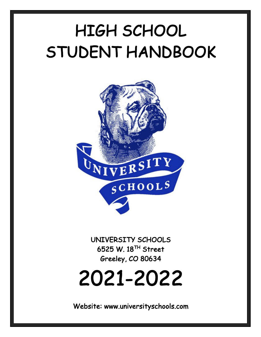# HIGH SCHOOL STUDENT HANDBOOK



 6525 W. 18TH Street UNIVERSITY SCHOOLS Greeley, CO 80634

# 2021-2022

Website: www.universityschools.com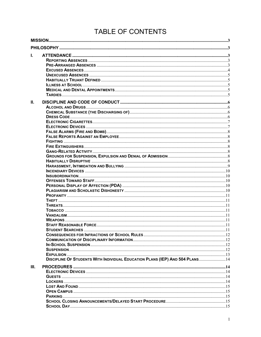# TABLE OF CONTENTS

| I.   |                                                                              |  |
|------|------------------------------------------------------------------------------|--|
|      |                                                                              |  |
|      |                                                                              |  |
|      |                                                                              |  |
|      |                                                                              |  |
|      |                                                                              |  |
|      |                                                                              |  |
|      |                                                                              |  |
|      |                                                                              |  |
| Н.   |                                                                              |  |
|      |                                                                              |  |
|      |                                                                              |  |
|      |                                                                              |  |
|      |                                                                              |  |
|      |                                                                              |  |
|      |                                                                              |  |
|      |                                                                              |  |
|      |                                                                              |  |
|      |                                                                              |  |
|      |                                                                              |  |
|      |                                                                              |  |
|      |                                                                              |  |
|      |                                                                              |  |
|      |                                                                              |  |
|      |                                                                              |  |
|      |                                                                              |  |
|      |                                                                              |  |
|      |                                                                              |  |
|      |                                                                              |  |
|      |                                                                              |  |
|      |                                                                              |  |
|      |                                                                              |  |
|      |                                                                              |  |
|      |                                                                              |  |
|      |                                                                              |  |
|      |                                                                              |  |
|      |                                                                              |  |
|      |                                                                              |  |
|      |                                                                              |  |
|      |                                                                              |  |
|      | DISCIPLINE OF STUDENTS WITH INDIVIDUAL EDUCATION PLANS (IEP) AND 504 PLANS14 |  |
| III. |                                                                              |  |
|      |                                                                              |  |
|      |                                                                              |  |
|      |                                                                              |  |
|      |                                                                              |  |
|      |                                                                              |  |
|      |                                                                              |  |
|      |                                                                              |  |
|      |                                                                              |  |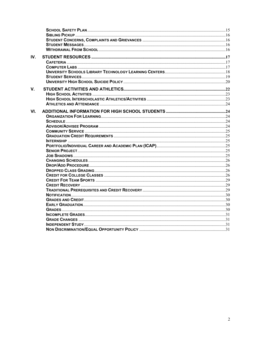| IV. |  |
|-----|--|
|     |  |
|     |  |
|     |  |
|     |  |
|     |  |
| V.  |  |
|     |  |
|     |  |
|     |  |
| VI. |  |
|     |  |
|     |  |
|     |  |
|     |  |
|     |  |
|     |  |
|     |  |
|     |  |
|     |  |
|     |  |
|     |  |
|     |  |
|     |  |
|     |  |
|     |  |
|     |  |
|     |  |
|     |  |
|     |  |
|     |  |
|     |  |
|     |  |
|     |  |
|     |  |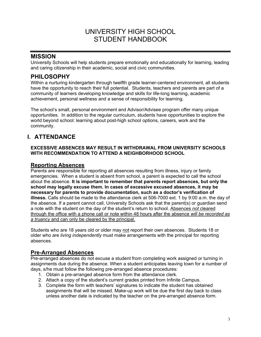# UNIVERSITY HIGH SCHOOL STUDENT HANDBOOK

# <span id="page-3-0"></span>**MISSION**

 University Schools will help students prepare emotionally and educationally for learning, leading and caring citizenship in their academic, social and civic communities.

# **PHILOSOPHY**

 Within a nurturing kindergarten through twelfth grade learner-centered environment, all students have the opportunity to reach their full potential. Students, teachers and parents are part of a community of learners developing knowledge and skills for life-long learning, academic achievement, personal wellness and a sense of responsibility for learning.

 The school's small, personal environment and Advisor/Advisee program offer many unique opportunities. In addition to the regular curriculum, students have opportunities to explore the world beyond school: learning about post-high school options, careers, work and the community.

# **I. ATTENDANCE**

#### **EXCESSIVE ABSENCES MAY RESULT IN WITHDRAWAL FROM UNIVERSITY SCHOOLS WITH RECOMMENDATION TO ATTEND A NEIGHBORHOOD SCHOOL**

# **Reporting Absences**

 Parents are responsible for reporting all absences resulting from illness, injury or family emergencies. When a student is absent from school, a parent is expected to call the school  **school may legally excuse them. In cases of excessive excused absences, it may be necessary for parents to provide documentation, such as a doctor's verification of illness.** Calls should be made to the attendance clerk at 506-7000 ext. 1 by 9:00 a.m. the day of a note with the student on the day of the student's return to school*.* Absences *not* cleared  through the office with a phone call or note within 48 hours after the absence *will be recorded as a truancy* and can only be cleared by the principal. about the absence. **It is important to remember that parents report absences, but only the**  the absence. If a parent cannot call, University Schools ask that the parent(s) or guardian send

Students who are 18 years old or older may not report their own absences. Students 18 or older who are *living independently* must make arrangements with the principal for reporting absences.

# **Pre-Arranged Absences**

 Pre-arranged absences do not excuse a student from completing work assigned or turning in assignments due during the absence. When a student anticipates leaving town for a number of days, s/he must follow the following pre-arranged absence procedures:

- 1. Obtain a pre-arranged absence form from the attendance clerk.
- 2. Attach a copy of the student's current grades printed from Infinite Campus.
- 3. Complete the form with teachers' signatures to indicate the student has obtained assignments that will be missed. Make-up work will be due the first day back to class unless another date is indicated by the teacher on the pre-arranged absence form.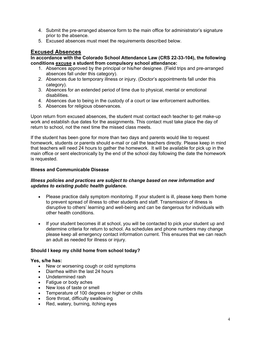- <span id="page-4-0"></span>4. Submit the pre-arranged absence form to the main office for administrator's signature prior to the absence.
- prior to the absence.<br>5. Excused absences must meet the requirements described below.

# **Excused Absences**

 **In accordance with the Colorado School Attendance Law (CRS 22-33-104), the following conditions excuse a student from compulsory school attendance:** 

- 1. Absences approved by the principal or his/her designee. (Field trips and pre-arranged absences fall under this category).
- 2. Absences due to temporary illness or injury. (Doctor's appointments fall under this category).
- 3. Absences for an extended period of time due to physical, mental or emotional disabilities.
- 4. Absences due to being in the custody of a court or law enforcement authorities.
- 5. Absences for religious observances.

 Upon return from excused absences, the student must contact each teacher to get make-up work and establish due dates for the assignments. This contact must take place the day of return to school, not the next time the missed class meets.

 If the student has been gone for more than two days and parents would like to request homework, students or parents should e-mail or call the teachers directly. Please keep in mind that teachers will need 24 hours to gather the homework. It will be available for pick up in the main office or sent electronically by the end of the school day following the date the homework is requested.

#### **Illness and Communicable Disease**

#### *updates to existing public health guidance. Illness policies and practices are subject to change based on new information and*

- Please practice daily symptom monitoring. If your student is ill, please keep them home to prevent spread of illness to other students and staff. Transmission of illness is disruptive to others' learning and well-being and can be dangerous for individuals with other health conditions.
- If your student becomes ill at school, you will be contacted to pick your student up and determine criteria for return to school. As schedules and phone numbers may change please keep all emergency contact information current. This ensures that we can reach an adult as needed for illness or injury.

#### **Should I keep my child home from school today?**

#### **Yes, s/he has:**

- New or worsening cough or cold symptoms
- Diarrhea within the last 24 hours
- • Undetermined rash
- Fatigue or body aches
- New loss of taste or smell
- Temperature of 100 degrees or higher or chills
- Sore throat, difficulty swallowing
- Red, watery, burning, itching eyes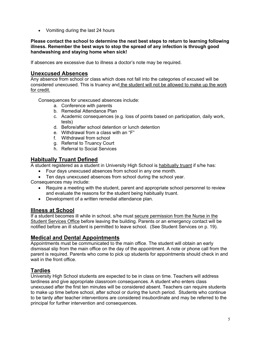<span id="page-5-0"></span>• Vomiting during the last 24 hours

 **Please contact the school to determine the next best steps to return to learning following illness. Remember the best ways to stop the spread of any infection is through good handwashing and staying home when sick!** 

If absences are excessive due to illness a doctor's note may be required.

# **Unexcused Absences**

 Any absence from school or class which does not fall into the categories of excused will be considered unexcused. This is truancy and the student will not be allowed to make up the work for credit.

Consequences for unexcused absences include:

- a. Conference with parents
- b. Remedial Attendance Plan
- c. Academic consequences (e.g. loss of points based on participation, daily work, tests)
- d. Before/after school detention or lunch detention
- e. Withdrawal from a class with an "F"
- f. Withdrawal from school
- g. Referral to Truancy Court
- h. Referral to Social Services

# **Habitually Truant Defined**

A student registered as a student in University High School is habitually truant if s/he has:

- Four days unexcused absences from school in any one month.
- Ten days unexcused absences from school during the school year.

Consequences may include:

- Require a meeting with the student, parent and appropriate school personnel to review and evaluate the reasons for the student being habitually truant.
- Development of a written remedial attendance plan.

#### **Illness at School**

Student Services Office before leaving the building. Parents or an emergency contact will be notified before an ill student is permitted to leave school. (See Student Services on p. 19). If a student becomes ill while in school, s/he must secure permission from the Nurse in the

## **Medical and Dental Appointments**

 dismissal slip from the main office on the day of the appointment. A note or phone call from the parent is required. Parents who come to pick up students for appointments should check in and wait in the front office. Appointments must be communicated to the main office. The student will obtain an early

# **Tardies**

 University High School students are expected to be in class on time. Teachers will address tardiness and give appropriate classroom consequences. A student who enters class unexcused after the first ten minutes will be considered absent. Teachers can require students principal for further intervention and consequences. to make up time before school, after school or during the lunch period. Students who continue to be tardy after teacher interventions are considered insubordinate and may be referred to the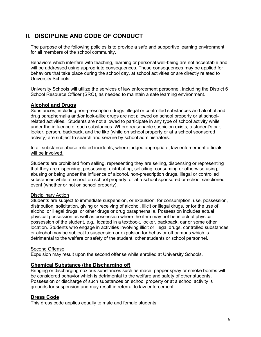# <span id="page-6-0"></span> **II. DISCIPLINE AND CODE OF CONDUCT**

 The purpose of the following policies is to provide a safe and supportive learning environment for all members of the school community.

 Behaviors which interfere with teaching, learning or personal well-being are not acceptable and will be addressed using appropriate consequences. These consequences may be applied for behaviors that take place during the school day, at school activities or are directly related to University Schools.

University Schools.<br>University Schools will utilize the services of law enforcement personnel, including the District 6 School Resource Officer (SRO), as needed to maintain a safe learning environment.

# **Alcohol and Drugs**

 Substances, including non-prescription drugs, illegal or controlled substances and alcohol and drug paraphernalia and/or look-alike drugs are not allowed on school property or at school- under the influence of such substances. Where reasonable suspicion exists, a student's car, locker, person, backpack, and the like (while on school property or at a school sponsored activity) are subject to search and seizure by school administrators. related activities. Students are not allowed to participate in any type of school activity while

will be involved. In all substance abuse related incidents, where judged appropriate, law enforcement officials

 Students are prohibited from selling, representing they are selling, dispensing or representing that they are dispensing, possessing, distributing, soliciting, consuming or otherwise using, abusing or being under the influence of alcohol, non-prescription drugs, illegal or controlled substances while at school on school property, or at a school sponsored or school sanctioned event (whether or not on school property).

#### Disciplinary Action

 Students are subject to immediate suspension, or expulsion, for consumption, use, possession, distribution, solicitation, giving or receiving of alcohol, illicit or illegal drugs, or for the use of alcohol or illegal drugs, or other drugs or drug paraphernalia. Possession includes actual physical possession as well as possession where the item may not be in actual physical possession of the student, e.g., located in a textbook, locker, backpack, car or some other location. Students who engage in activities involving illicit or illegal drugs, controlled substances or alcohol may be subject to suspension or expulsion for behavior off campus which is detrimental to the welfare or safety of the student, other students or school personnel.

#### Second Offense

Expulsion may result upon the second offense while enrolled at University Schools.

#### **Chemical Substance (the Discharging of)**

 Bringing or discharging noxious substances such as mace, pepper spray or smoke bombs will be considered behavior which is detrimental to the welfare and safety of other students. Possession or discharge of such substances on school property or at a school activity is grounds for suspension and may result in referral to law enforcement.

#### **Dress Code**

This dress code applies equally to male and female students.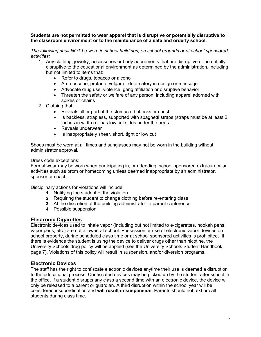#### <span id="page-7-0"></span> **Students are not permitted to wear apparel that is disruptive or potentially disruptive to the classroom environment or to the maintenance of a safe and orderly school.**

 *The following shall NOT be worn in school buildings, on school grounds or at school sponsored activities:* 

- 1. Any clothing, jewelry, accessories or body adornments that are disruptive or potentially disruptive to the educational environment as determined by the administration, including but not limited to items that:
	- Refer to drugs, tobacco or alcohol
	- Are obscene, profane, vulgar or defamatory in design or message
	- Advocate drug use, violence, gang affiliation or disruptive behavior
	- Threaten the safety or welfare of any person, including apparel adorned with spikes or chains
- 2. Clothing that:
	- Reveals all or part of the stomach, buttocks or chest
	- Is backless, strapless, supported with spaghetti straps (straps must be at least 2 inches in width) or has low cut sides under the arms
	- • Reveals underwear
	- Is inappropriately sheer, short, tight or low cut

 Shoes must be worn at all times and sunglasses may not be worn in the building without administrator approval.

#### Dress code exceptions:

 Formal wear may be worn when participating in, or attending, school sponsored extracurricular activities such as prom or homecoming unless deemed inappropriate by an administrator, sponsor or coach.

Disciplinary actions for violations will include:

- **1.** Notifying the student of the violation
- **2.** Requiring the student to change clothing before re-entering class
- **3.** At the discretion of the building administrator, a parent conference
- **4.** Possible suspension

#### **Electronic Cigarettes**

 Electronic devices used to inhale vapor (including but not limited to e-cigarettes, hookah pens, vapor pens, etc.) are not allowed at school. Possession or use of electronic vapor devices on there is evidence the student is using the device to deliver drugs other than nicotine, the University Schools drug policy will be applied (see the University Schools Student Handbook, page 7). Violations of this policy will result in suspension, and/or diversion programs. school property, during scheduled class time or at school sponsored activities is prohibited**.** If

#### **Electronic Devices**

 The staff has the right to confiscate electronic devices anytime their use is deemed a disruption only be released to a parent or guardian. A third disruption within the school year will be  considered insubordination and **will result in suspension**. Parents should not text or call to the educational process. Confiscated devices may be picked up by the student after school in the office. If a student disrupts any class a second time with an electronic device, the device will students during class time.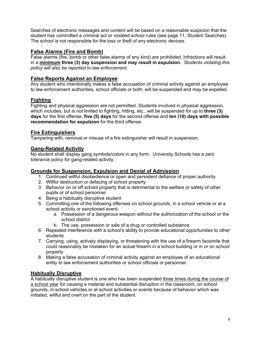<span id="page-8-0"></span> Searches of electronic messages and content will be based on a reasonable suspicion that the student has committed a criminal act or violated school rules (see page 11, Student Searches). The school is not responsible for the loss or theft of any electronic devices.

## **False Alarms (Fire and Bomb)**

 False alarms (fire, bomb or other false alarms of any kind) are prohibited. Infractions will result in a **minimum three (3) day suspension and may result in expulsion.** *Students violating this policy will also be reported to law enforcement*.

# **False Reports Against an Employee**

 Any student who intentionally makes a false accusation of criminal activity against an employee to law enforcement authorities, school officials or both, will be suspended and may be expelled.

# **Fighting**

 Fighting and physical aggression are not permitted. Students involved in physical aggression, which includes, but is not limited to fighting, hitting, etc., will be suspended for up to **three (3) days** for the first offense, **five (5) days** for the second offense and **ten (10) days with possible recommendation for expulsion** for the third offense.

# **Fire Extinguishers**

Tampering with, removal or misuse of a fire extinguisher will result in suspension.

# **Gang-Related Activity**

 No student shall display gang symbols/colors in any form. University Schools has a zero tolerance policy for gang-related activity.

## **Grounds for Suspension, Expulsion and Denial of Admission**

- 1. Continued willful disobedience or open and persistent defiance of proper authority
- 2. Willful destruction or defacing of school property
- 3. Behavior on or off school property that is detrimental to the welfare or safety of other pupils or of school personnel
- 4. Being a habitually disruptive student
- 5. Committing one of the following offenses on school grounds, in a school vehicle or at a school activity or sanctioned event:
	- a. Possession of a dangerous weapon without the authorization of the school or the school district
	- b. The use, possession or sale of a drug or controlled substance
- 6. Repeated interference with a school's ability to provide educational opportunities to other students
- 7. Carrying, using, actively displaying, or threatening with the use of a firearm facsimile that could reasonably be mistaken for an actual firearm in a school building or in or on school property
- 8. Making a false accusation of criminal activity against an employee of an educational entity to law enforcement authorities or school officials or personnel.

# **Habitually Disruptive**

A habitually disruptive student is one who has been suspended three times during the course of grounds, in school vehicles or at school activities or events because of behavior which was initiated, willful and overt on the part of the student. a school year for causing a material and substantial disruption in the classroom, on school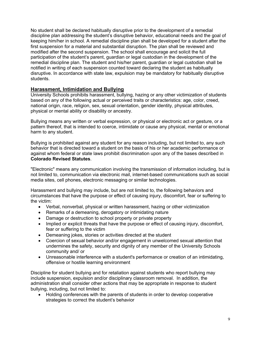<span id="page-9-0"></span> No student shall be declared habitually disruptive prior to the development of a remedial discipline plan addressing the student's disruptive behavior, educational needs and the goal of keeping him/her in school. A remedial discipline plan shall be developed for a student after the modified after the second suspension. The school shall encourage and solicit the full participation of the student's parent, guardian or legal custodian in the development of the notified in writing of each suspension counted toward declaring the student as habitually disruptive. In accordance with state law, expulsion may be mandatory for habitually disruptive first suspension for a material and substantial disruption. The plan shall be reviewed and remedial discipline plan. The student and his/her parent, guardian or legal custodian shall be students.

#### **Harassment, Intimidation and Bullying**

 University Schools prohibits harassment, bullying, hazing or any other victimization of students based on any of the following actual or perceived traits or characteristics: age, color, creed, national origin, race, religion, sex, sexual orientation, gender identity, physical attributes, physical or mental ability or disability or ancestry.

 Bullying means any written or verbal expression, or physical or electronic act or gesture, or a pattern thereof, that is intended to coerce, intimidate or cause any physical, mental or emotional harm to any student.

 Bullying is prohibited against any student for any reason including, but not limited to, any such behavior that is directed toward a student on the basis of his or her academic performance or against whom federal or state laws prohibit discrimination upon any of the bases described in **Colorado Revised Statutes**.

 not limited to, communication via electronic mail, internet-based communications such as social media sites, cell phones, electronic messaging or similar technologies. "Electronic" means any communication involving the transmission of information including, but is

 Harassment and bullying may include, but are not limited to, the following behaviors and circumstances that have the purpose or effect of causing injury, discomfort, fear or suffering to the victim:

- Verbal, nonverbal, physical or written harassment, hazing or other victimization
- Remarks of a demeaning, derogatory or intimidating nature
- Damage or destruction to school property or private property
- Implied or explicit threats that have the purpose or effect of causing injury, discomfort, fear or suffering to the victim
- Demeaning jokes, stories or activities directed at the student
- Coercion of sexual behavior and/or engagement in unwelcomed sexual attention that undermines the safety, security and dignity of any member of the University Schools community and/ or
- Unreasonable interference with a student's performance or creation of an intimidating, offensive or hostile learning environment

 Discipline for student bullying and for retaliation against students who report bullying may include suspension, expulsion and/or disciplinary classroom removal. In addition, the administration shall consider other actions that may be appropriate in response to student bullying, including, but not limited to:

• Holding conferences with the parents of students in order to develop cooperative strategies to correct the student's behavior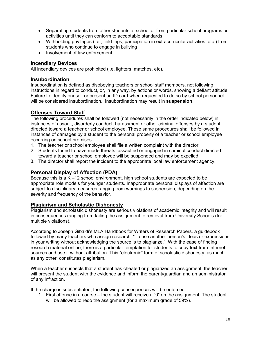- <span id="page-10-0"></span>• Separating students from other students at school or from particular school programs or activities until they can conform to acceptable standards
- Withholding privileges (i.e., field trips, participation in extracurricular activities, etc.) from students who continue to engage in bullying
- • Involvement of law enforcement

#### **Incendiary Devices**

All incendiary devices are prohibited (i.e. lighters, matches, etc).

#### **Insubordination**

 instructions in regard to conduct, or, in any way, by actions or words, showing a defiant attitude. Failure to identify oneself or present an ID card when requested to do so by school personnel will be considered insubordination. Insubordination may result in **suspension**. Insubordination is defined as disobeying teachers or school staff members, not following

#### **Offenses Toward Staff**

 The following procedures shall be followed (not necessarily in the order indicated below) in instances of assault, disorderly conduct, harassment or other criminal offenses by a student directed toward a teacher or school employee. These same procedures shall be followed in instances of damages by a student to the personal property of a teacher or school employee occurring on school premises.

- 1. The teacher or school employee shall file a written complaint with the director.
- 2. Students found to have made threats, assaulted or engaged in criminal conduct directed toward a teacher or school employee will be suspended and may be expelled.
- 3. The director shall report the incident to the appropriate local law enforcement agency.

#### **Personal Display of Affection (PDA)**

 Because this is a K –12 school environment, high school students are expected to be appropriate role models for younger students. Inappropriate personal displays of affection are subject to disciplinary measures ranging from warnings to suspension, depending on the severity and frequency of the behavior.

#### **Plagiarism and Scholastic Dishonesty**

 Plagiarism and scholastic dishonesty are serious violations of academic integrity and will result in consequences ranging from failing the assignment to removal from University Schools (for multiple violations).

According to Joseph Gibaldi's MLA Handbook for Writers of Research Papers, a guidebook followed by many teachers who assign research, "To use another person's ideas or expressions in your writing without acknowledging the source is to plagiarize." With the ease of finding sources and use it without attribution. This "electronic" form of scholastic dishonesty, as much as any other, constitutes plagiarism. research material online, there is a particular temptation for students to copy text from Internet

 When a teacher suspects that a student has cheated or plagiarized an assignment, the teacher will present the student with the evidence and inform the parent/guardian and an administrator of any infraction.

If the charge is substantiated, the following consequences will be enforced:

1. First offense in a course – the student will receive a "0" on the assignment. The student will be allowed to redo the assignment (for a maximum grade of 59%).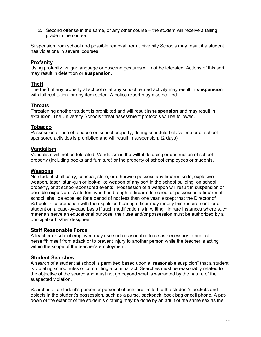<span id="page-11-0"></span>2. Second offense in the same, or any other course – the student will receive a failing grade in the course.

 Suspension from school and possible removal from University Schools may result if a student has violations in several courses.

## **Profanity**

 Using profanity, vulgar language or obscene gestures will not be tolerated. Actions of this sort may result in detention or **suspension.** 

#### **Theft**

 The theft of any property at school or at any school related activity may result in **suspension**  with full restitution for any item stolen. A police report may also be filed.

#### **Threats**

 Threatening another student is prohibited and will result in **suspension** and may result in expulsion. The University Schools threat assessment protocols will be followed.

#### **Tobacco**

 Possession or use of tobacco on school property, during scheduled class time or at school sponsored activities is prohibited and will result in suspension. (2 days)

#### **Vandalism**

 Vandalism will not be tolerated. Vandalism is the willful defacing or destruction of school property (including books and furniture) or the property of school employees or students.

#### **Weapons**

 No student shall carry, conceal, store, or otherwise possess any firearm, knife, explosive weapon, taser, stun-gun or look-alike weapon of any sort in the school building, on school property, or at school-sponsored events. Possession of a weapon will result in suspension or possible expulsion. A student who has brought a firearm to school or possesses a firearm at school, shall be expelled for a period of not less than one year, except that the Director of student on a case-by-case basis if such modification is in writing. In rare instances where such materials serve an educational purpose, their use and/or possession must be authorized by a principal or his/her designee. Schools in coordination with the expulsion hearing officer may modify this requirement for a

#### **Staff Reasonable Force**

 A teacher or school employee may use such reasonable force as necessary to protect herself/himself from attack or to prevent injury to another person while the teacher is acting within the scope of the teacher's employment.

#### **Student Searches**

 A search of a student at school is permitted based upon a "reasonable suspicion" that a student is violating school rules or committing a criminal act. Searches must be reasonably related to the objective of the search and must not go beyond what is warranted by the nature of the suspected violation.

 Searches of a student's person or personal effects are limited to the student's pockets and objects in the student's possession, such as a purse, backpack, book bag or cell phone. A pat-down of the exterior of the student's clothing may be done by an adult of the same sex as the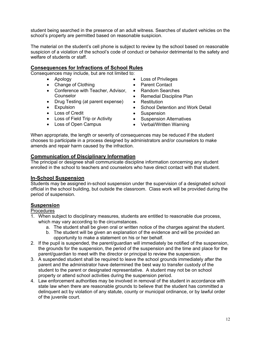<span id="page-12-0"></span> student being searched in the presence of an adult witness. Searches of student vehicles on the school's property are permitted based on reasonable suspicion.

school's property are permitted based on reasonable suspicion.<br>The material on the student's cell phone is subject to review by the school based on reasonable suspicion of a violation of the school's code of conduct or behavior detrimental to the safety and welfare of students or staff.

# **Consequences for Infractions of School Rules**

Consequences may include, but are not limited to:

- • Apology
- Change of Clothing
- Conference with Teacher, Advisor, Counselor
- Drug Testing (at parent expense)
- Expulsion
- • Loss of Credit
- • Loss of Field Trip or Activity
- • Loss of Open Campus
- Loss of Privileges
- Parent Contact
- Random Searches
- Remedial Discipline Plan
- Restitution
- School Detention and Work Detail
- Suspension
- Suspension Alternatives
- Verbal/Written Warning

 When appropriate, the length or severity of consequences may be reduced if the student amends and repair harm caused by the infraction. chooses to participate in a process designed by administrators and/or counselors to make

#### **Communication of Disciplinary Information**

 The principal or designee shall communicate discipline information concerning any student enrolled in the school to teachers and counselors who have direct contact with that student.

#### **In-School Suspension**

 Students may be assigned in-school suspension under the supervision of a designated school official in the school building, but outside the classroom. Class work will be provided during the period of suspension.

# **Suspension**

**Procedures** 

- 1. When subject to disciplinary measures, students are entitled to reasonable due process, which may vary according to the circumstances.
	- a. The student shall be given oral or written notice of the charges against the student.
	- b. The student will be given an explanation of the evidence and will be provided an opportunity to make a statement on his or her behalf.
- 2. If the pupil is suspended, the parent/guardian will immediately be notified of the suspension, parent/guardian to meet with the director or principal to review the suspension. the grounds for the suspension, the period of the suspension and the time and place for the
- 3. A suspended student shall be required to leave the school grounds immediately after the parent and the administrator have determined the best way to transfer custody of the student to the parent or designated representative. A student may not be on school property or attend school activities during the suspension period.
- 4. Law enforcement authorities may be involved in removal of the student in accordance with state law when there are reasonable grounds to believe that the student has committed a delinquent act by violation of any statute, county or municipal ordinance, or by lawful order of the juvenile court.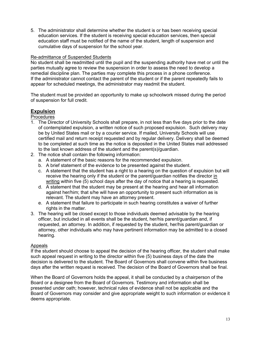<span id="page-13-0"></span>5. The administrator shall determine whether the student is or has been receiving special education services. If the student is receiving special education services, then special education staff must be notified of the name of the student, length of suspension and cumulative days of suspension for the school year.

#### Re-admittance of Suspended Students

 No student shall be readmitted until the pupil and the suspending authority have met or until the parties mutually agree to review the suspension in order to assess the need to develop a If the administrator cannot contact the parent of the student or if the parent repeatedly fails to remedial discipline plan. The parties may complete this process in a phone conference. appear for scheduled meetings, the administrator may readmit the student.

 The student must be provided an opportunity to make up schoolwork missed during the period of suspension for full credit.

# **Expulsion**

#### Procedures

- 1. The Director of University Schools shall prepare, in not less than five days prior to the date of contemplated expulsion, a written notice of such proposed expulsion. Such delivery may be by United States mail or by a courier service. If mailed, University Schools will use certified mail and return receipt requested and by regular delivery. Delivery shall be deemed to be completed at such time as the notice is deposited in the United States mail addressed to the last known address of the student and the parent(s)/guardian.
- 2. The notice shall contain the following information:
	- a. A statement of the basic reasons for the recommended expulsion.
	- b. A brief statement of the evidence to be presented against the student.
	- c. A statement that the student has a right to a hearing on the question of expulsion but will writing within five (5) school days after the day of notice that a hearing is requested. receive the hearing only if the student or the parent/guardian notifies the director in
	- d. A statement that the student may be present at the hearing and hear all information against her/him; that s/he will have an opportunity to present such information as is relevant. The student may have an attorney present.
	- e. A statement that failure to participate in such hearing constitutes a waiver of further rights in the matter.
- 3. The hearing will be closed except to those individuals deemed advisable by the hearing officer, but included in all events shall be the student, her/his parent/guardian and, if attorney, other individuals who may have pertinent information may be admitted to a closed requested, an attorney. In addition, if requested by the student, her/his parent/guardian or hearing.

#### Appeals

 such appeal request in writing to the director within five (5) business days of the date the decision is delivered to the student. The Board of Governors shall convene within five business days after the written request is received. The decision of the Board of Governors shall be final. If the student should choose to appeal the decision of the hearing officer, the student shall make

 When the Board of Governors holds the appeal, it shall be conducted by a chairperson of the Board or a designee from the Board of Governors. Testimony and information shall be presented under oath; however, technical rules of evidence shall not be applicable and the Board of Governors may consider and give appropriate weight to such information or evidence it deems appropriate.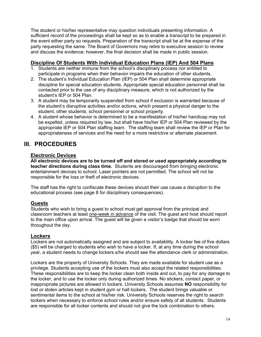<span id="page-14-0"></span> The student or his/her representative may question individuals presenting information. A sufficient record of the proceedings shall be kept so as to enable a transcript to be prepared in the event either party so requests. Preparation of the transcript shall be at the expense of the party requesting the same. The Board of Governors may retire to executive session to review and discuss the evidence; however, the final decision shall be made in public session.

## **Discipline Of Students With Individual Education Plans (IEP) And 504 Plans**

- participate in programs when their behavior impairs the education of other students. 1. Students are neither immune from the school's disciplinary process nor entitled to
- 2. The student's Individual Education Plan (IEP) or 504 Plan shall determine appropriate discipline for special education students. Appropriate special education personnel shall be contacted prior to the use of any disciplinary measure, which is not authorized by the student's IEP or 504 Plan.
- 3. A student may be temporarily suspended from school if exclusion is warranted because of student, other students, school personnel or school property. the student's disruptive activities and/or actions, which present a physical danger to the
- 4. A student whose behavior is determined to be a manifestation of his/her handicap may not be expelled, unless required by law, but shall have his/her IEP or 504 Plan reviewed by the appropriate IEP or 504 Plan staffing team. The staffing team shall review the IEP or Plan for appropriateness of services and the need for a more restrictive or alternate placement.

# **III. PROCEDURES**

# **Electronic Devices**

 **All electronic devices are to be turned off and stored or used appropriately according to teacher directions during class time.** Students are discouraged from bringing electronic entertainment devices to school. Laser pointers are not permitted. The school will not be responsible for the loss or theft of electronic devices.

 The staff has the right to confiscate these devices should their use cause a disruption to the educational process (see page 8 for disciplinary consequences).

# **Guests**

 Students who wish to bring a guest to school must get approval from the principal and classroom teachers at least one-week in advance of the visit. The guest and host should report to the main office upon arrival. The guest will be given a visitor's badge that should be worn throughout the day.

# **Lockers**

 Lockers are not automatically assigned and are subject to availability. A locker fee of five dollars year, a student needs to change lockers s/he should see the attendance clerk or administration. (\$5) will be charged to students who wish to have a locker. If, at any time during the school

 Lockers are the property of University Schools. They are made available for student use as a privilege. Students accepting use of the lockers must also accept the related responsibilities. These responsibilities are to keep the locker clean both inside and out, to pay for any damage to sentimental items to the school at his/her risk. University Schools reserves the right to search lockers when necessary to enforce school rules and/or ensure safety of all students. Students are responsible for all locker contents and should not give the lock combination to others. the locker, and to use the locker only during authorized times. No stickers, contact paper, or inappropriate pictures are allowed in lockers. University Schools assumes **NO** responsibility for lost or stolen articles kept in student gym or hall lockers. The student brings valuable or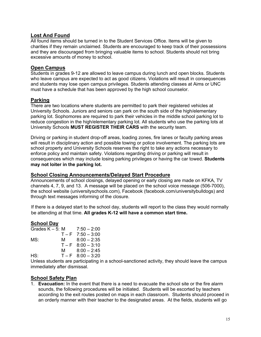#### <span id="page-15-0"></span> **Lost And Found**

 All found items should be turned in to the Student Services Office. Items will be given to charities if they remain unclaimed. Students are encouraged to keep track of their possessions and they are discouraged from bringing valuable items to school. Students should not bring excessive amounts of money to school.

#### **Open Campus**

 Students in grades 9-12 are allowed to leave campus during lunch and open blocks. Students who leave campus are expected to act as good citizens. Violations will result in consequences and students may lose open campus privileges. Students attending classes at Aims or UNC must have a schedule that has been approved by the high school counselor.

#### **Parking**

 There are two locations where students are permitted to park their registered vehicles at University Schools. Juniors and seniors can park on the south side of the high/elementary parking lot. Sophomores are required to park their vehicles in the middle school parking lot to University Schools **MUST REGISTER THEIR CARS** with the security team. reduce congestion in the high/elementary parking lot. All students who use the parking lots at

 Driving or parking in student drop-off areas, loading zones, fire lanes or faculty parking areas will result in disciplinary action and possible towing or police involvement. The parking lots are school property and University Schools reserves the right to take any actions necessary to consequences which may include losing parking privileges or having the car towed. **Students may not loiter in the parking lot.**  enforce policy and maintain safety. Violations regarding driving or parking will result in

#### **School Closing Announcements/Delayed Start Procedure**

 Announcements of school closings, delayed opening or early closing are made on KFKA, TV channels 4, 7, 9, and 13. A message will be placed on the school voice message (506-7000), through text messages informing of the closure. the school website (universityschools.com), Facebook (facebook.com/universitybulldogs) and

 be attending at that time. **All grades K-12 will have a common start time.**  If there is a delayed start to the school day, students will report to the class they would normally

#### **School Day**

| Grades $K - 5$ : M |   | $7:50 - 2:00$       |
|--------------------|---|---------------------|
|                    |   | $T - F$ 7:50 - 3:00 |
| MS:                | M | $8:00 - 2:35$       |
|                    |   | $T - F$ 8:00 - 3:10 |
|                    | м | $8:00 - 2:45$       |
| HS:                |   | $T - F$ 8:00 - 3:20 |

 Unless students are participating in a school-sanctioned activity, they should leave the campus immediately after dismissal.

#### **School Safety Plan**

1. **Evacuation:** In the event that there is a need to evacuate the school site or the fire alarm sounds, the following procedures will be initiated. Students will be escorted by teachers according to the exit routes posted on maps in each classroom. Students should proceed in an orderly manner with their teacher to the designated areas. At the fields, students will go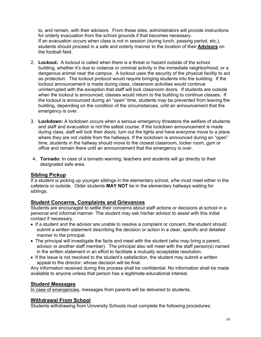<span id="page-16-0"></span>for orderly evacuation from the school grounds if that becomes necessary. students should proceed in a safe and orderly manner to the location of their **Advisors** on to, and remain, with their advisors. From these sites, administrators will provide instructions If an evacuation occurs when class is not in session (during lunch, passing period, etc.), the football field.

- 2. Lockout: A lockout is called when there is a threat or hazard outside of the school building, whether it's due to violence or criminal activity in the immediate neighborhood, or a dangerous animal near the campus. A lockout uses the security of the physical facility to act as protection. The lockout protocol would require bringing students into the building. If the lockout announcement is made during class, classroom activities would continue uninterrupted with the exception that staff will lock classroom doors. If students are outside when the lockout is announced, classes would return to the building to continue classes. If building, depending on the condition of the circumstances, until an announcement that the the lockout is announced during an "open" time, students may be prevented from leaving the emergency is over.
- 3. Lockdown: A lockdown occurs when a serious emergency threatens the welfare of students and staff and evacuation is not the safest course. If the lockdown announcement is made during class, staff will lock their doors, turn out the lights and have everyone move to a place where they are not visible from the hallways. If the lockdown is announced during an "open" time, students in the hallway should move to the closest classroom, locker room, gym or office and remain there until an announcement that the emergency is over.
- 4. **Tornado:** In case of a tornado warning, teachers and students will go directly to their designated safe area.

#### **Sibling Pickup**

 If a student is picking up younger siblings in the elementary school, s/he must meet either in the cafeteria or outside. Older students **MAY NOT** be in the elementary hallways waiting for siblings.

#### **Student Concerns, Complaints and Grievances**

 Students are encouraged to settle their concerns about staff actions or decisions at school in a personal and informal manner. The student may ask his/her advisor to assist with this initial contact if necessary.

- If a student and the advisor are unable to resolve a complaint or concern, the student should submit a written statement describing the decision or action in a clear, specific and detailed manner to the principal.
- The principal will investigate the facts and meet with the student (who may bring a parent, advisor or another staff member). The principal also will meet with the staff person(s) named in the written statement in an effort to facilitate a mutually acceptable resolution.
- • If the issue is not resolved to the student's satisfaction, the student may submit a written appeal to the director, whose decision will be final.

Any information received during this process shall be confidential. No information shall be made available to anyone unless that person has a legitimate educational interest.

#### **Student Messages**

In case of emergencies, messages from parents will be delivered to students.

#### **Withdrawal From School**

Students withdrawing from University Schools must complete the following procedures: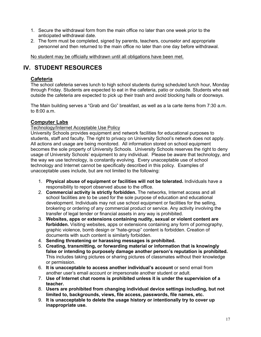- <span id="page-17-0"></span>1. Secure the withdrawal form from the main office no later than one week prior to the anticipated withdrawal date.
- 2. The form must be completed, signed by parents, teachers, counselor and appropriate personnel and then returned to the main office no later than one day before withdrawal.

No student may be officially withdrawn until all obligations have been met.

# **IV. STUDENT RESOURCES**

## **Cafeteria**

 The school cafeteria serves lunch to high school students during scheduled lunch hour, Monday through Friday. Students are expected to eat in the cafeteria, patio or outside. Students who eat outside the cafeteria are expected to pick up their trash and avoid blocking halls or doorways.

 The Main building serves a "Grab and Go" breakfast, as well as a la carte items from 7:30 a.m. to 8:00 a.m.

#### **Computer Labs**

#### Technology/Internet Acceptable Use Policy

 University Schools provides equipment and network facilities for educational purposes to students, staff and faculty. The right to privacy on University School's network does not apply. All actions and usage are being monitored. All information stored on school equipment becomes the sole property of University Schools. University Schools reserves the right to deny usage of University Schools' equipment to any individual. Please be aware that technology, and the way we use technology, is constantly evolving. Every unacceptable use of school unacceptable uses include, but are not limited to the following: technology and Internet cannot be specifically described in this policy. Examples of

- 1. Physical abuse of equipment or facilities will not be tolerated. Individuals have a responsibility to report observed abuse to the office.
- 2. **Commercial activity is strictly forbidden.** The networks, Internet access and all school facilities are to be used for the sole purpose of education and educational development. Individuals may not use school equipment or facilities for the selling, brokering or ordering of any commercial product or service. Any activity involving the transfer of legal tender or financial assets in any way is prohibited.
- 3. **Websites, apps or extensions containing nudity, sexual or violent content are forbidden.** Visiting websites, apps or extensions containing any form of pornography, graphic violence, bomb design or "hate-group" content is forbidden. Creation of documents with such content is similarly forbidden.
- 4. **Sending threatening or harassing messages is prohibited.**
- 5. **Creating, transmitting, or forwarding material or information that is knowingly**  This includes taking pictures or sharing pictures of classmates without their knowledge **false or intending to purposely damage another person's reputation is prohibited.**  or permission.
- 6. **It is unacceptable to access another individual's account** or send email from another user's email account or impersonate another student or adult.
- 7. **Use of Internet chat rooms is prohibited unless it is under the supervision of a teacher.**
- 8. Users are prohibited from changing individual device settings including, but not **limited to, backgrounds, views, file access, passwords, file names, etc.**
- 9. **It is unacceptable to delete the usage history or intentionally try to cover up inappropriate use.**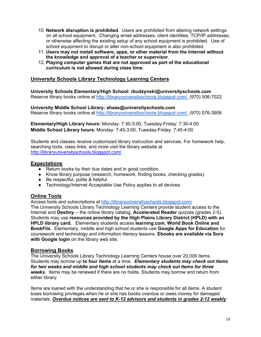- <span id="page-18-0"></span> 10. **Network disruption is prohibited**. Users are prohibited from altering network settings on all school equipment. Changing email addresses, client identities, TCP/IP addresses, or otherwise affecting the existing setup of any school equipment is prohibited. Use of school equipment to disrupt or alter non-school equipment is also prohibited.
- 11. **Users may not install software, apps, or other material from the Internet without the knowledge and approval of a teacher or supervisor**.
- 12. **Playing computer games that are not approved as part of the educational curriculum is not allowed during class time**.

#### **University Schools Library Technology Learning Centers**

Reserve library books online at http://libraryuniversityschools.blogspot.com/ (970) 506-7022 **University Schools Elementary/High School: rbudzynski@universityschools.com** 

Reserve library books online at http://libraryuniversityschools.blogspot.com/ (970) 576-3908 **University Middle School Library: ahaas@universityschools.com** 

 **Elementary/High Library hours:** Monday: 7:30-3:00, Tuesday-Friday: 7:30-4:00  **Middle School Library hours**: Monday: 7:45-3:00, Tuesday-Friday: 7:45-4:00

 Students and classes receive customized library instruction and services. For homework help, searching tools, class links, and more visit the library website at http://libraryuniversityschools.blogspot.com/

#### **Expectations**

- Return books by their due dates and in good condition.
- Know library purpose (research, homework, finding books, checking grades).
- Be respectful, polite & helpful.
- Technology/Internet Acceptable Use Policy applies to all devices.

#### **Online Tools**

Access tools and subscriptions at http://libraryuniversityschools.blogspot.com/

 The University Schools Library Technology Learning Centers provide student access to the Internet and **Destiny** -- the online library catalog, **Accelerated Reader** quizzes (grades 2-5). Students may use **resources provided by the High Plains Library District (HPLD) with an HPLD library card.** Elementary students access **learning.com, World Book Online and BookFlix.** Elementary, middle and high school students use **Google Apps for Education** for  **with Google login** on the library web site. coursework and technology and information literacy lessons. **Ebooks are available via Sora** 

#### **Borrowing Books**

 The University Schools Library Technology Learning Centers house over 20,000 items. Students may borrow up **to four items** at a time. *Elementary students may check out items for two weeks and middle and high school students may check out items for three*  weeks. Items may be renewed if there are no holds. Students may borrow and return from either library.

 loses borrowing privileges when he or she has books overdue or owes money for damaged materials. *Overdue notices are sent to K-12 advisors and students in grades 2-12 weekly* Items are loaned with the understanding that he or she is responsible for all items. A student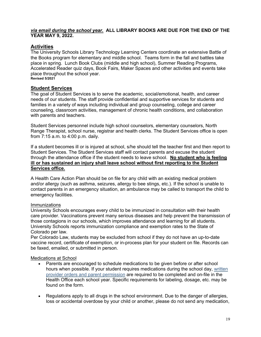#### <span id="page-19-0"></span> *via email during the school year.* **ALL LIBRARY BOOKS ARE DUE FOR THE END OF THE YEAR MAY 9, 2022.**

# **Activities**

 The University Schools Library Technology Learning Centers coordinate an extensive Battle of place in spring. Lunch Book Clubs (middle and high school), Summer Reading Programs, Accelerated Reader quiz days, Book Fairs, Maker Spaces and other activities and events take place throughout the school year. the Books program for elementary and middle school. Teams form in the fall and battles take **Revised 5/2021** 

#### **Student Services**

 The goal of Student Services is to serve the academic, social/emotional, health, and career needs of our students. The staff provide confidential and supportive services for students and counseling, classroom activities, management of chronic health conditions, and collaboration with parents and teachers. families in a variety of ways including individual and group counseling, college and career

 Student Services personnel include high school counselors, elementary counselors, North Range Therapist, school nurse, registrar and health clerks. The Student Services office is open from 7:15 a.m. to 4:00 p.m. daily.

 If a student becomes ill or is injured at school, s/he should tell the teacher first and then report to Student Services. The Student Services staff will contact parents and excuse the student  through the attendance office if the student needs to leave school. **No student who is feeling ill or has sustained an injury shall leave school without first reporting to the Student Services office.** 

 A Health Care Action Plan should be on file for any child with an existing medical problem and/or allergy (such as asthma, seizures, allergy to bee stings, etc.). If the school is unable to contact parents in an emergency situation, an ambulance may be called to transport the child to emergency facilities.

#### Immunizations

 University Schools encourages every child to be immunized in consultation with their health care provider. Vaccinations prevent many serious diseases and help prevent the transmission of University Schools reports immunization compliance and exemption rates to the State of Colorado per law. those contagions in our schools, which improves attendance and learning for all students.

 Per Colorado Law, students may be excluded from school if they do not have an up-to-date vaccine record, certificate of exemption, or in-process plan for your student on file. Records can be faxed, emailed, or submitted in person.

#### Medications at School

- Parents are encouraged to schedule medications to be given before or after school hours when possible. If your student requires medications during the school day, written provider orders and parent permission are required to be completed and on-file in the Health Office each school year. Specific requirements for labeling, dosage, etc. may be found on the form.
- Regulations apply to all drugs in the school environment. Due to the danger of allergies, loss or accidental overdose by your child or another, please do not send any medication,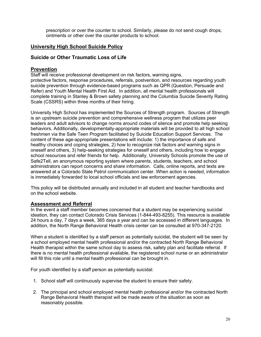<span id="page-20-0"></span> prescription or over the counter to school. Similarly, please do not send cough drops, ointments or other over the counter products to school.

#### **University High School Suicide Policy**

#### **Suicide or Other Traumatic Loss of Life**

#### **Prevention**

 Staff will receive professional development on risk factors, warning signs, protective factors, response procedures, referrals, postvention, and resources regarding youth suicide prevention through evidence-based programs such as QPR (Question, Persuade and Refer) and Youth Mental Health First Aid. In addition, all mental health professionals will complete training in Stanley & Brown safety planning and the Columbia Suicide Severity Rating Scale (CSSRS) within three months of their hiring.

 University High School has implemented the Sources of Strength program. Sources of Strength is an upstream suicide prevention and comprehensive wellness program that utilizes peer leaders and adult advisors to change norms around codes of silence and promote help seeking behaviors. Additionally, developmentally-appropriate materials will be provided to all high school content of these age-appropriate presentations will include: 1) the importance of safe and healthy choices and coping strategies, 2) how to recognize risk factors and warning signs in oneself and others, 3) help-seeking strategies for oneself and others, including how to engage school resources and refer friends for help. Additionally, University Schools promote the use of Safe2Tell, an anonymous reporting system where parents, students, teachers, and school administrators can report concerns and share information. Calls, online reports, and texts are answered at a Colorado State Patrol communication center. When action is needed, information is immediately forwarded to local school officials and law enforcement agencies. freshmen via the Safe Teen Program facilitated by Suicide Education Support Services. The

 This policy will be distributed annually and included in all student and teacher handbooks and on the school website.

#### **Assessment and Referral**

 ideation, they can contact Colorado Crisis Services (1-844-493-8255). This resource is available 24 hours a day, 7 days a week, 365 days a year and can be accessed in different languages. In addition, the North Range Behavioral Health crisis center can be consulted at 970-347-2120. In the event a staff member becomes concerned that a student may be experiencing suicidal

 When a student is identified by a staff person as potentially suicidal, the student will be seen by a school employed mental health professional and/or the contracted North Range Behavioral Health therapist within the same school day to assess risk, safety plan and facilitate referral. If will fill this role until a mental health professional can be brought in. there is no mental health professional available, the registered school nurse or an administrator

For youth identified by a staff person as potentially suicidal:

- 1. School staff will continuously supervise the student to ensure their safety.
- 2. The principal and school employed mental health professional and/or the contracted North Range Behavioral Health therapist will be made aware of the situation as soon as reasonably possible.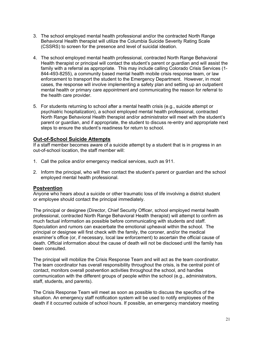- 3. The school employed mental health professional and/or the contracted North Range Behavioral Health therapist will utilize the Columbia Suicide Severity Rating Scale (CSSRS) to screen for the presence and level of suicidal ideation.
- 4. The school employed mental health professional, contracted North Range Behavioral Health therapist or principal will contact the student's parent or guardian and will assist the family with a referral as appropriate. This may include calling Colorado Crisis Services (1- 844-493-8255), a community based mental health mobile crisis response team, or law enforcement to transport the student to the Emergency Department. However, in most cases, the response will involve implementing a safety plan and setting up an outpatient mental health or primary care appointment and communicating the reason for referral to the health care provider.
- 5. For students returning to school after a mental health crisis (e.g., suicide attempt or psychiatric hospitalization), a school employed mental health professional, contracted North Range Behavioral Health therapist and/or administrator will meet with the student's parent or guardian, and if appropriate, the student to discuss re-entry and appropriate next steps to ensure the student's readiness for return to school.

#### **Out-of-School Suicide Attempts**

 out-of-school location, the staff member will: If a staff member becomes aware of a suicide attempt by a student that is in progress in an

- 1. Call the police and/or emergency medical services, such as 911.
- 2. Inform the principal, who will then contact the student's parent or guardian and the school employed mental health professional.

#### **Postvention**

 Anyone who hears about a suicide or other traumatic loss of life involving a district student or employee should contact the principal immediately.

 The principal or designee (Director, Chief Security Officer, school employed mental health professional, contracted North Range Behavioral Health therapist) will attempt to confirm as much factual information as possible before communicating with students and staff. Speculation and rumors can exacerbate the emotional upheaval within the school. The principal or designee will first check with the family, the coroner, and/or the medical examiner's office (or, if necessary, local law enforcement) to ascertain the official cause of death. Official information about the cause of death will not be disclosed until the family has been consulted.

 The principal will mobilize the Crisis Response Team and will act as the team coordinator. contact, monitors overall postvention activities throughout the school, and handles communication with the different groups of people within the school (e.g., administrators, staff, students, and parents). The team coordinator has overall responsibility throughout the crisis, is the central point of

 The Crisis Response Team will meet as soon as possible to discuss the specifics of the situation. An emergency staff notification system will be used to notify employees of the death if it occurred outside of school hours. If possible, an emergency mandatory meeting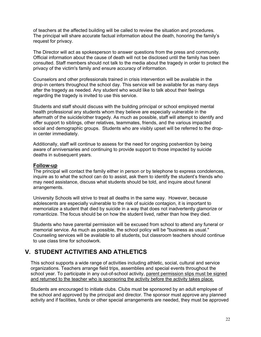<span id="page-22-0"></span> of teachers at the affected building will be called to review the situation and procedures. The principal will share accurate factual information about the death, honoring the family's request for privacy.

 The Director will act as spokesperson to answer questions from the press and community. Official information about the cause of death will not be disclosed until the family has been consulted. Staff members should not talk to the media about the tragedy in order to protect the privacy of the victim's family and ensure accuracy of information.

 Counselors and other professionals trained in crisis intervention will be available in the drop-in centers throughout the school day. This service will be available for as many days after the tragedy as needed. Any student who would like to talk about their feelings regarding the tragedy is invited to use this service.

 Students and staff should discuss with the building principal or school employed mental health professional any students whom they believe are especially vulnerable in the aftermath of the suicide/other tragedy. As much as possible, staff will attempt to identify and offer support to siblings, other relatives, teammates, friends, and the various impacted in center immediately. social and demographic groups. Students who are visibly upset will be referred to the drop-

 Additionally, staff will continue to assess for the need for ongoing postvention by being aware of anniversaries and continuing to provide support to those impacted by suicide deaths in subsequent years.

#### **Follow-up**

 The principal will contact the family either in person or by telephone to express condolences, inquire as to what the school can do to assist, ask them to identify the student's friends who may need assistance, discuss what students should be told, and inquire about funeral arrangements.

 University Schools will strive to treat all deaths in the same way. However, because adolescents are especially vulnerable to the risk of suicide contagion, it is important to memorialize a student that died by suicide in a way that does not inadvertently glamorize or romanticize. The focus should be on how the student lived, rather than how they died.

 Students who have parental permission will be excused from school to attend any funeral or memorial service. As much as possible, the school policy will be "business as usual." Counseling services will be available to all students, but classroom teachers should continue to use class time for schoolwork.

# **V. STUDENT ACTIVITIES AND ATHLETICS**

 This school supports a wide range of activities including athletic, social, cultural and service organizations. Teachers arrange field trips, assemblies and special events throughout the school year. To participate in any out-of-school activity, parent permission slips must be signed and returned to the teacher who is sponsoring the activity before the activity takes place.

 Students are encouraged to initiate clubs. Clubs must be sponsored by an adult employee of the school and approved by the principal and director. The sponsor must approve any planned activity and if facilities, funds or other special arrangements are needed, they must be approved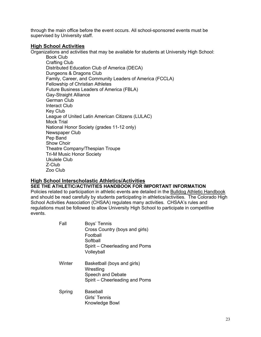<span id="page-23-0"></span>through the main office before the event occurs. All school-sponsored events must be supervised by University staff.

#### **High School Activities**

Organizations and activities that may be available for students at University High School:

 Distributed Education Club of America (DECA) Dungeons & Dragons Club Family, Career, and Community Leaders of America (FCCLA) Fellowship of Christian Athletes Future Business Leaders of America (FBLA) National Honor Society (grades 11-12 only) Theatre Company/Thespian Troupe Tri-M Music Honor Society Book Club Crafting Club Gay-Straight Alliance German Club Interact Club Key Club League of United Latin American Citizens (LULAC) Mock Trial Newspaper Club Pep Band Show Choir Ukulele Club Z-Club Zoo Club

#### **High School Interscholastic Athletics/Activities**

#### **SEE THE ATHLETIC/ACTIVITIES HANDBOOK FOR IMPORTANT INFORMATION**

Policies related to participation in athletic events are detailed in the **Bulldog Athletic Handbook**  and should be read carefully by students participating in athletics/activities. The Colorado High School Activities Association (CHSAA) regulates many activities. CHSAA's rules and regulations must be followed to allow University High School to participate in competitive events.

| Fall   | Boys' Tennis                   |  |  |
|--------|--------------------------------|--|--|
|        | Cross Country (boys and girls) |  |  |
|        | Football                       |  |  |
|        | Softball                       |  |  |
|        | Spirit - Cheerleading and Poms |  |  |
|        | Volleyball                     |  |  |
| Winter | Basketball (boys and girls)    |  |  |
|        | Wrestling                      |  |  |
|        | Speech and Debate              |  |  |
|        | Spirit – Cheerleading and Poms |  |  |
| Spring | Baseball                       |  |  |
|        | Girls' Tennis                  |  |  |
|        | Knowledge Bowl                 |  |  |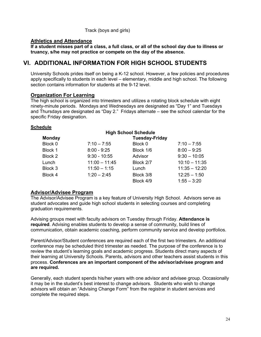#### Track (boys and girls)

#### <span id="page-24-0"></span> **Athletics and Attendance**

 **If a student misses part of a class, a full class, or all of the school day due to illness or truancy, s/he may not practice or compete on the day of the absence.** 

# **VI. ADDITIONAL INFORMATION FOR HIGH SCHOOL STUDENTS**

 University Schools prides itself on being a K-12 school. However, a few policies and procedures apply specifically to students in each level – elementary, middle and high school. The following section contains information for students at the 9-12 level.

#### **Organization For Learning**

 The high school is organized into trimesters and utilizes a rotating block schedule with eight ninety-minute periods. Mondays and Wednesdays are designated as "Day 1" and Tuesdays and Thursdays are designated as "Day 2." Fridays alternate – see the school calendar for the specific Friday designation.

#### **Schedule**

| <b>High School Schedule</b> |                       |           |                 |  |  |  |  |
|-----------------------------|-----------------------|-----------|-----------------|--|--|--|--|
| <b>Monday</b>               | <b>Tuesday-Friday</b> |           |                 |  |  |  |  |
| Block 0                     | $7:10 - 7:55$         | Block 0   | $7:10 - 7:55$   |  |  |  |  |
| Block 1                     | $8:00 - 9:25$         | Block 1/6 | $8:00 - 9:25$   |  |  |  |  |
| Block 2                     | $9:30 - 10:55$        | Advisor   | $9:30 - 10:05$  |  |  |  |  |
| Lunch                       | $11:00 - 11:45$       | Block 2/7 | $10:10 - 11:35$ |  |  |  |  |
| Block 3                     | $11:50 - 1:15$        | Lunch     | $11:35 - 12:20$ |  |  |  |  |
| Block 4                     | $1:20 - 2:45$         | Block 3/8 | $12:25 - 1:50$  |  |  |  |  |
|                             |                       | Block 4/9 | $1:55 - 3:20$   |  |  |  |  |

#### **Advisor/Advisee Program**

 The Advisor/Advisee Program is a key feature of University High School. Advisors serve as student advocates and guide high school students in selecting courses and completing graduation requirements.

 Advising groups meet with faculty advisors on Tuesday through Friday. **Attendance is required**. Advising enables students to develop a sense of community, build lines of communication, obtain academic coaching, perform community service and develop portfolios.

communication, obtain academic coaching, perform community service and develop portfolios.<br>Parent/Advisor/Student conferences are required each of the first two trimesters. An additional conference may be scheduled third trimester as needed. The purpose of the conference is to review the student's learning goals and academic progress. Students direct many aspects of  process. **Conferences are an important component of the advisor/advisee program and**  their learning at University Schools. Parents, advisors and other teachers assist students in this **are required.** 

 Generally, each student spends his/her years with one advisor and advisee group. Occasionally it may be in the student's best interest to change advisors. Students who wish to change advisors will obtain an "Advising Change Form" from the registrar in student services and complete the required steps.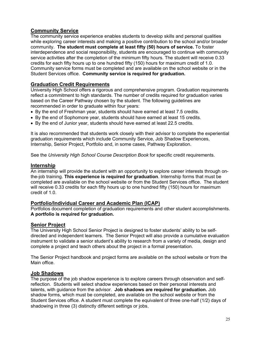# <span id="page-25-0"></span> **Community Service**

 The community service experience enables students to develop skills and personal qualities while exploring career interests and making a positive contribution to the school and/or broader community. **The student must complete at least fifty (50) hours of service.** To foster interdependence and social responsibility, students are encouraged to continue with community service activities after the completion of the minimum fifty hours. The student will receive 0.33 credits for each fifty hours up to one hundred fifty (150) hours for maximum credit of 1.0. Community service forms must be completed and are available on the school website or in the Student Services office. **Community service is required for graduation.** 

#### **Graduation Credit Requirements**

 University High School offers a rigorous and comprehensive program. Graduation requirements reflect a commitment to high standards. The number of credits required for graduation varies based on the Career Pathway chosen by the student. The following guidelines are recommended in order to graduate within four years:

- By the end of Freshman year, students should have earned at least 7.5 credits.
- By the end of Sophomore year, students should have earned at least 15 credits.
- By the end of Junior year, students should have earned at least 22.5 credits.

 It is also recommended that students work closely with their advisor to complete the experiential graduation requirements which include Community Service, Job Shadow Experiences, Internship, Senior Project, Portfolio and, in some cases, Pathway Exploration.

 See the *University High School Course Description Book* for specific credit requirements.

#### **Internship**

 An internship will provide the student with an opportunity to explore career interests through on- the-job training. **This experience is required for graduation**. Internship forms that must be completed are available on the school website or from the Student Services office. The student will receive 0.33 credits for each fifty hours up to one hundred fifty (150) hours for maximum credit of 1.0.

#### **Portfolio/Individual Career and Academic Plan (ICAP)**

 Portfolios document completion of graduation requirements and other student accomplishments.  **A portfolio is required for graduation.** 

#### **Senior Project**

 The University High School Senior Project is designed to foster students' ability to be self- directed and independent learners. The Senior Project will also provide a cumulative evaluation instrument to validate a senior student's ability to research from a variety of media, design and complete a project and teach others about the project in a formal presentation.

 The Senior Project handbook and project forms are available on the school website or from the Main office.

#### **Job Shadows**

 The purpose of the job shadow experience is to explore careers through observation and self- reflection. Students will select shadow experiences based on their personal interests and  talents, with guidance from the advisor. **Job shadows are required for graduation.** Job shadow forms, which must be completed, are available on the school website or from the Student Services office. A student must complete the equivalent of three one-half (1/2) days of shadowing in three (3) distinctly different settings or jobs.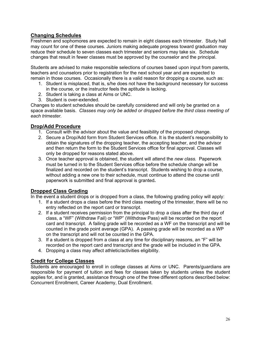# <span id="page-26-0"></span> **Changing Schedules**

 may count for one of these courses. Juniors making adequate progress toward graduation may changes that result in fewer classes must be approved by the counselor and the principal. Freshmen and sophomores are expected to remain in eight classes each trimester. Study hall reduce their schedule to seven classes each trimester and seniors may take six. Schedule

 Students are advised to make responsible selections of courses based upon input from parents, remain in those courses. Occasionally there is a valid reason for dropping a course, such as: teachers and counselors prior to registration for the next school year and are expected to

- 1. Student is misplaced, that is, s/he does not have the background necessary for success in the course, or the instructor feels the aptitude is lacking.
- 2. Student is taking a class at Aims or UNC.
- 3. Student is over-extended.

Changes to student schedules should be carefully considered and will only be granted on a space available basis. *Classes may only be added or dropped before the third class meeting of each trimester.*

#### **Drop/Add Procedure**

- 1. Consult with the advisor about the value and feasibility of the proposed change.
- 2. Secure a Drop/Add form from Student Services office. It is the student's responsibility to obtain the signatures of the dropping teacher, the accepting teacher, and the advisor and then return the form to the Student Services office for final approval. Classes will only be dropped for reasons stated above.
- 3. Once teacher approval is obtained, the student will attend the *new class.* Paperwork must be turned in to the Student Services office before the schedule change will be finalized and recorded on the student's transcript. Students wishing to drop a course, without adding a new one to their schedule, must continue to attend the course until paperwork is submitted and final approval is granted**.**

#### **Dropped Class Grading**

In the event a student drops or is dropped from a class, the following grading policy will apply:

- 1. If a student drops a class before the third class meeting of the trimester, there will be no entry reflected on the report card or transcript.
- class, a "WF" (Withdraw Fail) or "WP" (Withdraw Pass) will be recorded on the report card and transcript. A failing grade will be recorded as a WF on the transcript and will be on the transcript and will not be counted in the GPA. 2. If a student receives permission from the principal to drop a class after the third day of counted in the grade point average (GPA). A passing grade will be recorded as a WP
- 3. If a student is dropped from a class at any time for disciplinary reasons, an "F" will be recorded on the report card and transcript and the grade will be included in the GPA.
- 4. Dropping a class may affect athletic/activities eligibility.

#### **Credit for College Classes**

 Students are encouraged to enroll in college classes at Aims or UNC. Parents/guardians are responsible for payment of tuition and fees for classes taken by students unless the student applies for, and is granted, assistance through one of the three different options described below: Concurrent Enrollment, Career Academy, Dual Enrollment.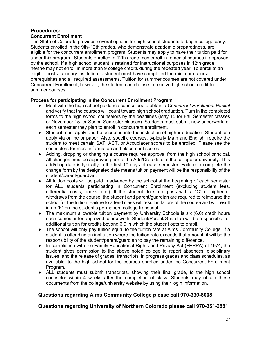# **Procedures:**

#### **Concurrent Enrollment**

 The State of Colorado provides several options for high school students to begin college early. Students enrolled in the 9th–12th grades, who demonstrate academic preparedness, are eligible for the concurrent enrollment program. Students may apply to have their tuition paid for under this program. Students enrolled in 12th grade may enroll in remedial courses if approved by the school. If a high school student is retained for instructional purposes in 12th grade, he/she may not enroll in more than 9 college credits during the repeated year. To enroll at an eligible postsecondary institution, a student must have completed the minimum course prerequisites and all required assessments. Tuition for summer courses are not covered under Concurrent Enrollment; however, the student can choose to receive high school credit for summer courses.

#### **Process for participating in the Concurrent Enrollment Program**

- ● Meet with the high school guidance counselors to obtain a *Concurrent Enrollment Packet*  and verify that the courses will count toward high school graduation. Turn in the completed forms to the high school counselors by the deadlines (May 15 for Fall Semester classes or November 15 for Spring Semester classes). Students must submit new paperwork for each semester they plan to enroll in concurrent enrollment.
- Student must apply and be accepted into the institution of higher education. Student can apply via online or paper. Also, specific courses, typically Math and English, require the student to meet certain SAT, ACT, or Accuplacer scores to be enrolled. Please see the counselors for more information and placement scores.
- ● Adding, dropping or changing a course requires approval from the high school principal. All changes must be approved prior to the Add/Drop date at the college or university. This add/drop date is typically in the first 10 days of each semester. Failure to complete the change form by the designated date means tuition payment will be the responsibility of the student/parent/guardian.
- All tuition costs will be paid in advance by the school at the beginning of each semester for ALL students participating in Concurrent Enrollment (excluding student fees, differential costs, books, etc.). If the student does not pass with a "C" or higher or withdraws from the course, the student and parent/guardian are required to reimburse the school for the tuition. Failure to attend class will result in failure of the course and will result in an "F" on the student's permanent college transcript.
- The maximum allowable tuition payment by University Schools is six (6.0) credit hours each semester for approved coursework. Student/Parent/Guardian will be responsible for additional tuition for credits beyond 6.0 in which the student opts to enroll.
- The school will only pay tuition equal to the tuition rate at Aims Community College. If a student is attending an institution where the tuition rate exceeds that amount, it will be the responsibility of the student/parent/guardian to pay the remaining difference.
- In compliance with the Family Educational Rights and Privacy Act (FERPA) of 1974, the student gives permission to the above noted college to report absences, disciplinary issues, and the release of grades, transcripts, in progress grades and class schedules, as available, to the high school for the courses enrolled under the Concurrent Enrollment Program.
- ALL students must submit transcripts, showing their final grade, to the high school counselor within 4 weeks after the completion of class. Students may obtain these documents from the college/university website by using their login information.

#### **Questions regarding Aims Community College please call 970-330-8008**

#### **Questions regarding University of Northern Colorado please call 970-351-2881**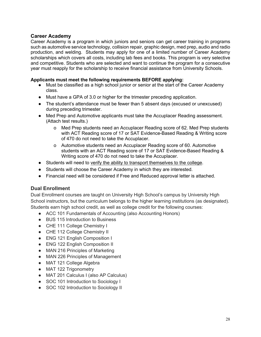## **Career Academy**

 Career Academy is a program in which juniors and seniors can get career training in programs such as automotive service technology, collision repair, graphic design, med prep, audio and radio production, and welding. Students may apply for one of a limited number of Career Academy scholarships which covers all costs, including lab fees and books. This program is very selective and competitive. Students who are selected and want to continue the program for a consecutive year must reapply for the scholarship to receive financial assistance from University Schools.

#### **Applicants must meet the following requirements BEFORE applying:**

- Must be classified as a high school junior or senior at the start of the Career Academy class.
- Must have a GPA of 3.0 or higher for the trimester preceding application.
- The student's attendance must be fewer than 5 absent days (excused or unexcused) during preceding trimester.
- during preceding trimester.<br>● Med Prep and Automotive applicants must take the Accuplacer Reading assessment. (Attach test results.)
	- o Med Prep students need an Accuplacer Reading score of 62. Med Prep students with ACT Reading score of 17 or SAT Evidence-Based Reading & Writing score of 470 do not need to take the Accuplacer.
	- o Automotive students need an Accuplacer Reading score of 60. Automotive students with an ACT Reading score of 17 or SAT Evidence-Based Reading & Writing score of 470 do not need to take the Accuplacer.
- Students will need to verify the ability to transport themselves to the college.
- Students will choose the Career Academy in which they are interested.
- ● Financial need will be considered if Free and Reduced approval letter is attached.

#### **Dual Enrollment**

 Dual Enrollment courses are taught on University High School's campus by University High Students earn high school credit, as well as college credit for the following courses: School instructors, but the curriculum belongs to the higher learning institutions (as designated).

- ACC 101 Fundamentals of Accounting (also Accounting Honors)
- BUS 115 Introduction to Business
- ● CHE 111 College Chemistry I
- CHE 112 College Chemistry II
- ENG 121 English Composition I
- ENG 122 English Composition II
- MAN 216 Principles of Marketing
- MAN 226 Principles of Management
- MAT 121 College Algebra
- MAT 122 Trigonometry
- MAT 201 Calculus I (also AP Calculus)
- SOC 101 Introduction to Sociology I
- SOC 102 Introduction to Sociology II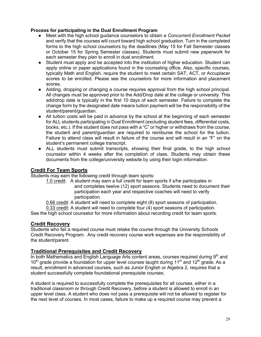#### <span id="page-29-0"></span> **Process for participating in the Dual Enrollment Program**

- ● Meet with the high school guidance counselors to obtain a *Concurrent Enrollment Packet*  and verify that the courses will count toward high school graduation. Turn in the completed forms to the high school counselors by the deadlines (May 15 for Fall Semester classes or October 15 for Spring Semester classes). Students must submit new paperwork for each semester they plan to enroll in dual enrollment.
- Student must apply and be accepted into the institution of higher education. Student can apply online or paper applications found in the counseling office. Also, specific courses, typically Math and English, require the student to meet certain SAT, ACT, or Accuplacer scores to be enrolled. Please see the counselors for more information and placement scores.
- ● Adding, dropping or changing a course requires approval from the high school principal. All changes must be approved prior to the Add/Drop date at the college or university. This add/drop date is typically in the first 10 days of each semester. Failure to complete the change form by the designated date means tuition payment will be the responsibility of the student/parent/guardian.
- All tuition costs will be paid in advance by the school at the beginning of each semester for ALL students participating in Dual Enrollment (excluding student fees, differential costs, books, etc.). If the student does not pass with a "C" or higher or withdraws from the course, the student and parent/guardian are required to reimburse the school for the tuition. Failure to attend class will result in failure of the course and will result in an "F" on the student's permanent college transcript.
- ALL students must submit transcripts, showing their final grade, to the high school counselor within 4 weeks after the completion of class. Students may obtain these documents from the college/university website by using their login information.

#### **Credit For Team Sports**

Students may earn the following credit through team sports:

1.0 credit: A student may earn a full credit for team sports if s/he participates in and completes twelve (12) sport seasons. Students need to document their participation each year and respective coaches will need to verify participation.

0.66 credit: A student will need to complete eight (8) sport seasons of participation.

0.33 credit: A student will need to complete four (4) sport seasons of participation.

See the high school counselor for more information about recording credit for team sports.

#### **Credit Recovery**

 Students who fail a required course must retake the course through the University Schools Credit Recovery Program. Any credit recovery course work expenses are the responsibility of the student/parent.

#### **Traditional Prerequisites and Credit Recovery**

10<sup>th</sup> grade provide a foundation for upper level courses taught during 11<sup>th</sup> and 12<sup>th</sup> grade. As a result, enrollment in advanced courses, such as Junior English or Algebra 2, requires that a student successfully complete foundational prerequisite courses. In both Mathematics and English Language Arts content areas, courses required during  $9<sup>th</sup>$  and

 A student is required to successfully complete the prerequisites for all courses, either in a upper level class. A student who does not pass a prerequisite will not be allowed to register for traditional classroom or through Credit Recovery, before a student is allowed to enroll in an the next level of courses. In most cases, failure to make up a required course may prevent a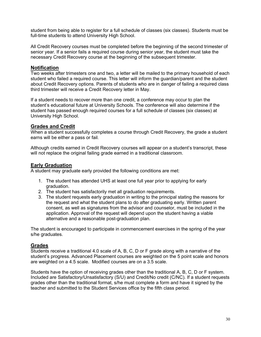<span id="page-30-0"></span> student from being able to register for a full schedule of classes (six classes). Students must be full-time students to attend University High School.

 All Credit Recovery courses must be completed before the beginning of the second trimester of senior year. If a senior fails a required course during senior year, the student must take the necessary Credit Recovery course at the beginning of the subsequent trimester.

#### **Notification**

 Two weeks after trimesters one and two, a letter will be mailed to the primary household of each student who failed a required course. This letter will inform the guardian/parent and the student about Credit Recovery options. Parents of students who are in danger of failing a required class third trimester will receive a Credit Recovery letter in May.

 student's educational future at University Schools. The conference will also determine if the student has passed enough required courses for a full schedule of classes (six classes) at University High School. If a student needs to recover more than one credit, a conference may occur to plan the

#### **Grades and Credit**

 When a student successfully completes a course through Credit Recovery, the grade a student earns will be either a pass or fail.

 Although credits earned in Credit Recovery courses will appear on a student's transcript, these will not replace the original failing grade earned in a traditional classroom.

#### **Early Graduation**

A student may graduate early provided the following conditions are met:

- 1. The student has attended UHS at least one full year prior to applying for early graduation.
- 2. The student has satisfactorily met all graduation requirements.
- 3. The student requests early graduation in writing to the principal stating the reasons for the request and what the student plans to do after graduating early. Written parent consent, as well as signatures from the advisor and counselor, must be included in the application. Approval of the request will depend upon the student having a viable alternative and a reasonable post-graduation plan.

 The student is encouraged to participate in commencement exercises in the spring of the year s/he graduates.

#### **Grades**

 Students receive a traditional 4.0 scale of A, B, C, D or F grade along with a narrative of the student's progress. Advanced Placement courses are weighted on the 5 point scale and honors are weighted on a 4.5 scale. Modified courses are on a 3.5 scale.

 Students have the option of receiving grades other than the traditional A, B, C, D or F system. Included are Satisfactory/Unsatisfactory (S/U) and Credit/No credit (C/NC). If a student requests grades other than the traditional format, s/he must complete a form and have it signed by the teacher and submitted to the Student Services office by the fifth class period.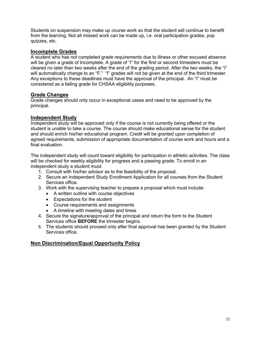<span id="page-31-0"></span> Students on suspension may make up course work so that the student will continue to benefit quizzes, etc. from the learning. Not all missed work can be made up, i.e. oral participation grades, pop

#### **Incomplete Grades**

 A student who has not completed grade requirements due to illness or other excused absence will be given a grade of Incomplete. A grade of "I" for the first or second trimesters must be cleared no later than two weeks after the end of the grading period. After the two weeks, the "I" will automatically change to an "F." "I" grades will not be given at the end of the third trimester. Any exceptions to these deadlines must have the approval of the principal. An "I" must be considered as a failing grade for CHSAA eligibility purposes.

#### **Grade Changes**

 Grade changes should only occur in exceptional cases and need to be approved by the principal.

#### **Independent Study**

 student is unable to take a course. The course should make educational sense for the student and should enrich his/her educational program. Credit will be granted upon completion of agreed requirements, submission of appropriate documentation of course work and hours and a Independent study will be approved only if the course is not currently being offered or the final evaluation.

 The independent study will count toward eligibility for participation in athletic activities. The class will be checked for weekly eligibility for progress and a passing grade. To enroll in an independent study a student must:

- 1. Consult with his/her advisor as to the feasibility of the proposal.
- 2. Secure an Independent Study Enrollment Application for all courses from the Student Services office.
- 3. Work with the supervising teacher to prepare a proposal which must include:
	- • A written outline with course objectives
	- • Expectations for the student
	- • Course requirements and assignments
	- • A timeline with meeting dates and times
- 4. Secure the signature/approval of the principal and return the form to the Student Services office **BEFORE** the trimester begins.
- 5. The students should proceed only after final approval has been granted by the Student Services office.

#### **Non Discrimination/Equal Opportunity Policy**